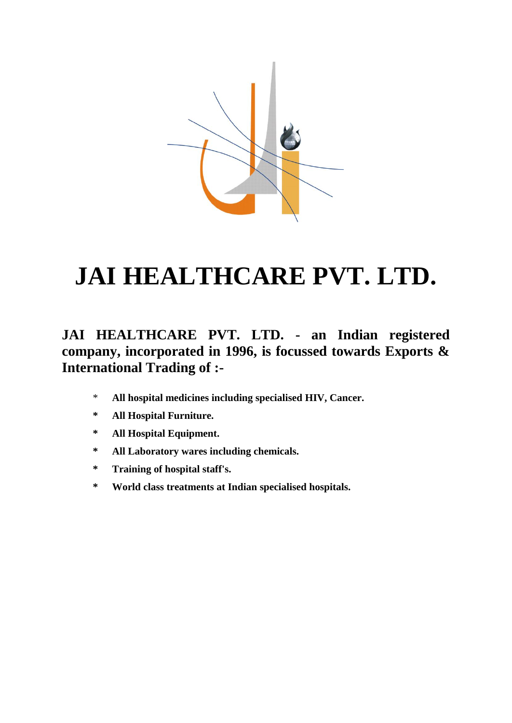

# **JAI HEALTHCARE PVT. LTD.**

#### **JAI HEALTHCARE PVT. LTD. - an Indian registered company, incorporated in 1996, is focussed towards Exports & International Trading of :-**

- \* **All hospital medicines including specialised HIV, Cancer.**
- **\* All Hospital Furniture.**
- **\* All Hospital Equipment.**
- **\* All Laboratory wares including chemicals.**
- **\* Training of hospital staff's.**
- **\* World class treatments at Indian specialised hospitals.**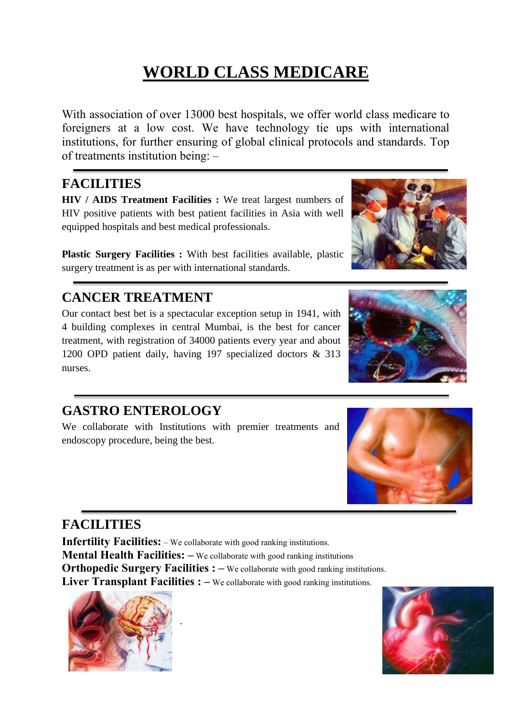# **WORLD CLASS MEDICARE**

With association of over 13000 best hospitals, we offer world class medicare to foreigners at a low cost. We have technology tie ups with international institutions, for further ensuring of global clinical protocols and standards. Top of treatments institution being: –

#### **FACILITIES**

**HIV / AIDS Treatment Facilities :** We treat largest numbers of HIV positive patients with best patient facilities in Asia with well equipped hospitals and best medical professionals.

**Plastic Surgery Facilities :** With best facilities available, plastic surgery treatment is as per with international standards.

**CANCER TREATMENT**

Our contact best bet is a spectacular exception setup in 1941, with 4 building complexes in central Mumbai, is the best for cancer treatment, with registration of 34000 patients every year and about 1200 OPD patient daily, having 197 specialized doctors & 313 nurses.

#### **GASTRO ENTEROLOGY**

We collaborate with Institutions with premier treatments and endoscopy procedure, being the best.

### **FACILITIES**

**Infertility Facilities:** – We collaborate with good ranking institutions.

.

**Mental Health Facilities: –** We collaborate with good ranking institutions

**Orthopedic Surgery Facilities :** – We collaborate with good ranking institutions.

**Liver Transplant Facilities : –** We collaborate with good ranking institutions.











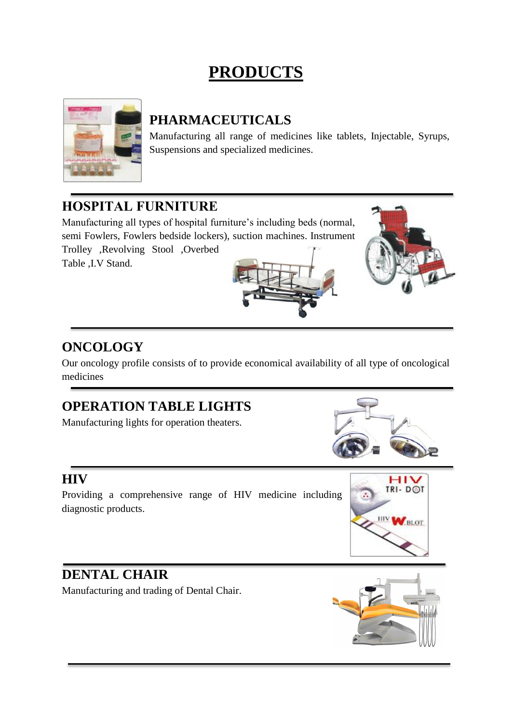# **PRODUCTS**



#### **PHARMACEUTICALS**

Manufacturing all range of medicines like tablets, Injectable, Syrups, Suspensions and specialized medicines.

#### **HOSPITAL FURNITURE**

Manufacturing all types of hospital furniture's including beds (normal, semi Fowlers, Fowlers bedside lockers), suction machines. Instrument Trolley ,Revolving Stool ,Overbed Table ,I.V Stand.



#### **ONCOLOGY**

Our oncology profile consists of to provide economical availability of all type of oncological medicines

#### **OPERATION TABLE LIGHTS**

Manufacturing lights for operation theaters.

#### **HIV**

Providing a comprehensive range of HIV medicine including diagnostic products.



#### **DENTAL CHAIR**

Manufacturing and trading of Dental Chair.

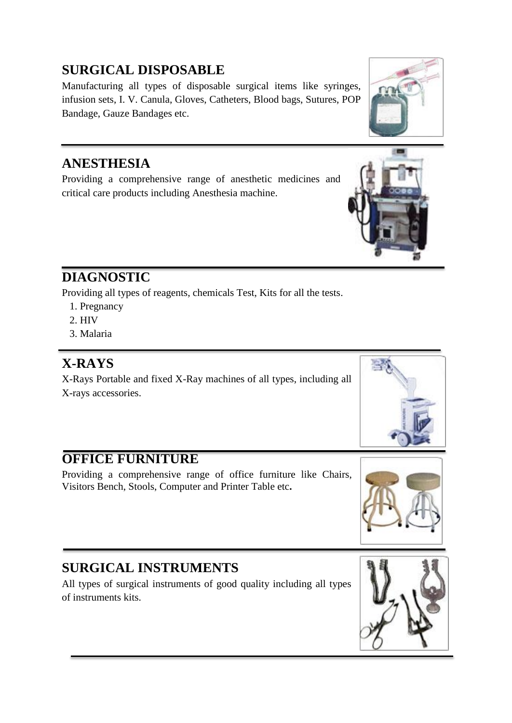### **SURGICAL DISPOSABLE**

Manufacturing all types of disposable surgical items like syringes, infusion sets, I. V. Canula, Gloves, Catheters, Blood bags, Sutures, POP Bandage, Gauze Bandages etc.

#### **ANESTHESIA**

Providing a comprehensive range of anesthetic medicines and critical care products including Anesthesia machine.

### **DIAGNOSTIC**

Providing all types of reagents, chemicals Test, Kits for all the tests.

- 1. Pregnancy
- 2. HIV
- 3. Malaria

#### **X-RAYS**

X-Rays Portable and fixed X-Ray machines of all types, including all X-rays accessories.

#### **OFFICE FURNITURE**

Providing a comprehensive range of office furniture like Chairs, Visitors Bench, Stools, Computer and Printer Table etc**.**

### **SURGICAL INSTRUMENTS**

All types of surgical instruments of good quality including all types of instruments kits.











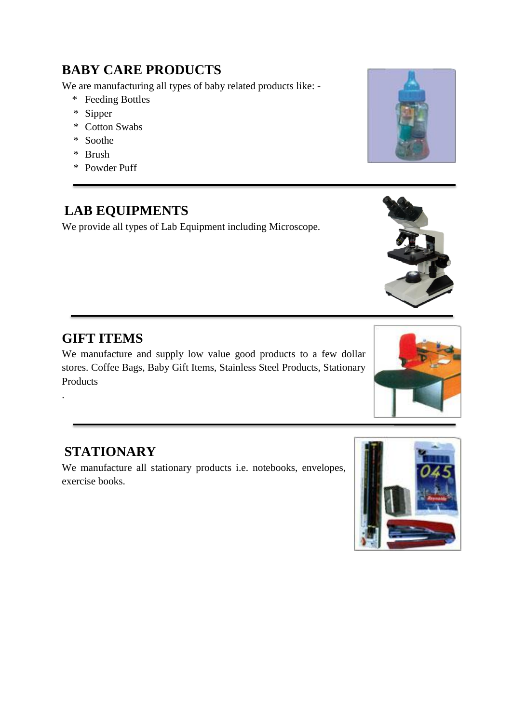#### **BABY CARE PRODUCTS**

We are manufacturing all types of baby related products like: -

- \* Feeding Bottles
- \* Sipper
- \* Cotton Swabs
- \* Soothe
- \* Brush
- \* Powder Puff

#### **LAB EQUIPMENTS**

We provide all types of Lab Equipment including Microscope.

#### **GIFT ITEMS**

.

We manufacture and supply low value good products to a few dollar stores. Coffee Bags, Baby Gift Items, Stainless Steel Products, Stationary Products

#### **STATIONARY**

We manufacture all stationary products i.e. notebooks, envelopes, exercise books.